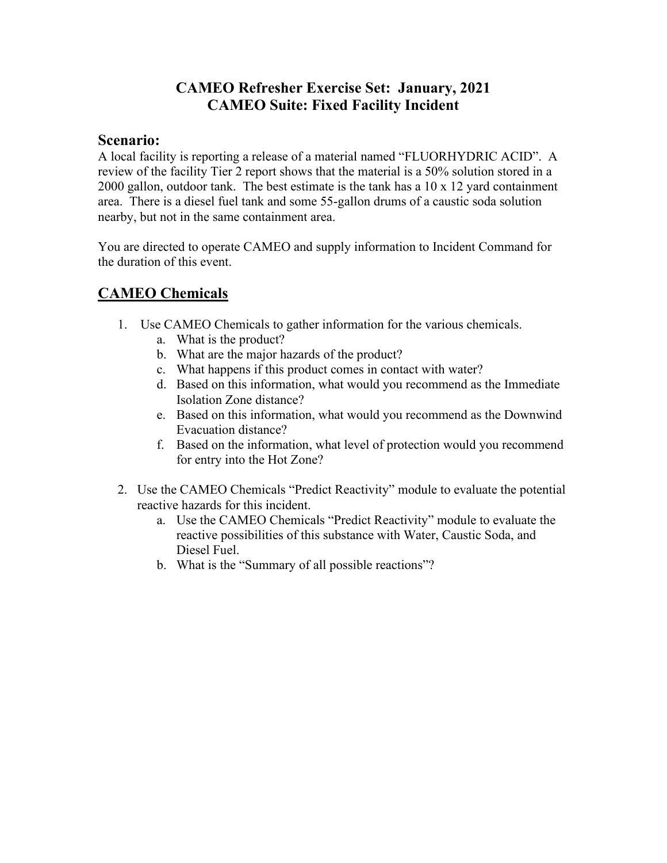## **CAMEO Refresher Exercise Set: January, 2021 CAMEO Suite: Fixed Facility Incident**

### **Scenario:**

A local facility is reporting a release of a material named "FLUORHYDRIC ACID". A review of the facility Tier 2 report shows that the material is a 50% solution stored in a 2000 gallon, outdoor tank. The best estimate is the tank has a 10 x 12 yard containment area. There is a diesel fuel tank and some 55-gallon drums of a caustic soda solution nearby, but not in the same containment area.

You are directed to operate CAMEO and supply information to Incident Command for the duration of this event.

## **CAMEO Chemicals**

- 1. Use CAMEO Chemicals to gather information for the various chemicals.
	- a. What is the product?
	- b. What are the major hazards of the product?
	- c. What happens if this product comes in contact with water?
	- d. Based on this information, what would you recommend as the Immediate Isolation Zone distance?
	- e. Based on this information, what would you recommend as the Downwind Evacuation distance?
	- f. Based on the information, what level of protection would you recommend for entry into the Hot Zone?
- 2. Use the CAMEO Chemicals "Predict Reactivity" module to evaluate the potential reactive hazards for this incident.
	- a. Use the CAMEO Chemicals "Predict Reactivity" module to evaluate the reactive possibilities of this substance with Water, Caustic Soda, and Diesel Fuel.
	- b. What is the "Summary of all possible reactions"?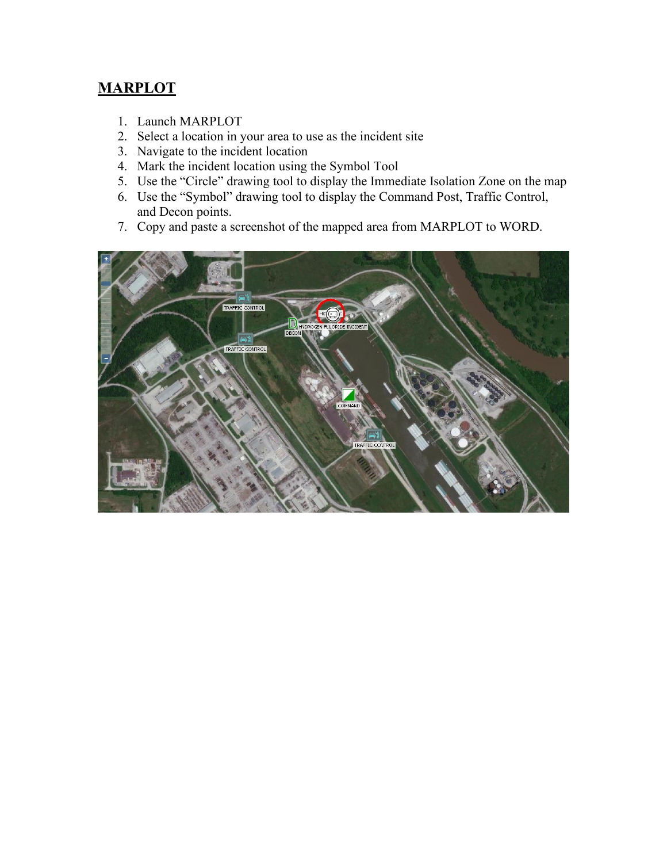## **MARPLOT**

- 1. Launch MARPLOT
- 2. Select a location in your area to use as the incident site
- 3. Navigate to the incident location
- 4. Mark the incident location using the Symbol Tool
- 5. Use the "Circle" drawing tool to display the Immediate Isolation Zone on the map
- 6. Use the "Symbol" drawing tool to display the Command Post, Traffic Control, and Decon points.
- 7. Copy and paste a screenshot of the mapped area from MARPLOT to WORD.

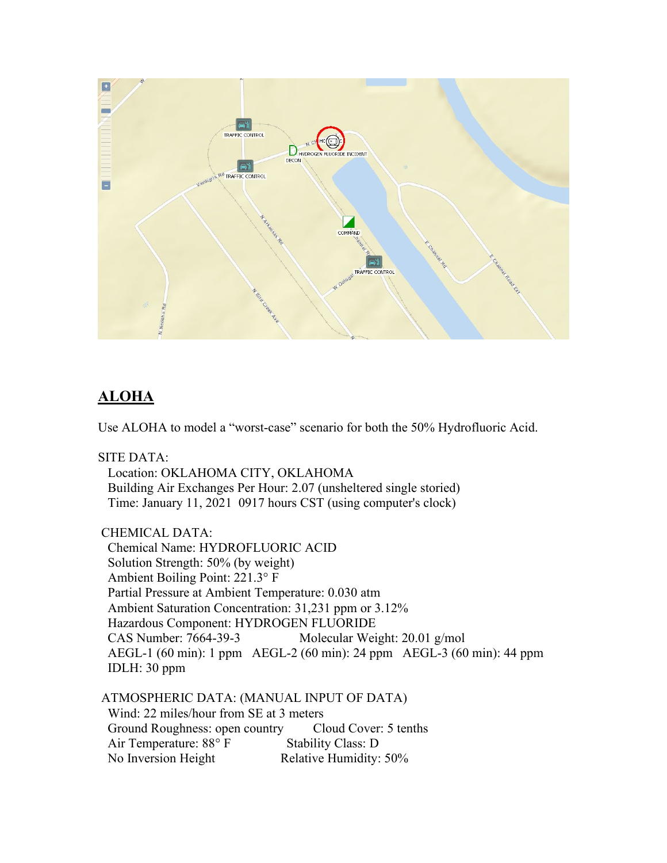

## **ALOHA**

Use ALOHA to model a "worst-case" scenario for both the 50% Hydrofluoric Acid.

SITE DATA: Location: OKLAHOMA CITY, OKLAHOMA Building Air Exchanges Per Hour: 2.07 (unsheltered single storied) Time: January 11, 2021 0917 hours CST (using computer's clock) CHEMICAL DATA: Chemical Name: HYDROFLUORIC ACID Solution Strength: 50% (by weight) Ambient Boiling Point: 221.3° F Partial Pressure at Ambient Temperature: 0.030 atm Ambient Saturation Concentration: 31,231 ppm or 3.12% Hazardous Component: HYDROGEN FLUORIDE CAS Number: 7664-39-3 Molecular Weight: 20.01 g/mol AEGL-1 (60 min): 1 ppm AEGL-2 (60 min): 24 ppm AEGL-3 (60 min): 44 ppm IDLH: 30 ppm

ATMOSPHERIC DATA: (MANUAL INPUT OF DATA) Wind: 22 miles/hour from SE at 3 meters Ground Roughness: open country Cloud Cover: 5 tenths Air Temperature: 88° F Stability Class: D No Inversion Height Relative Humidity: 50%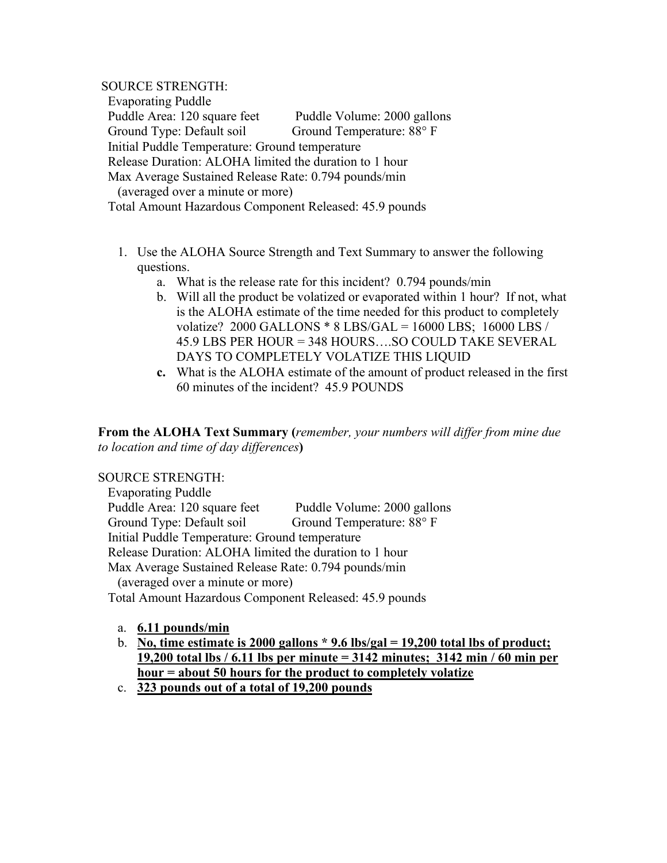SOURCE STRENGTH: Evaporating Puddle Puddle Area: 120 square feet Puddle Volume: 2000 gallons Ground Type: Default soil Ground Temperature: 88° F Initial Puddle Temperature: Ground temperature Release Duration: ALOHA limited the duration to 1 hour Max Average Sustained Release Rate: 0.794 pounds/min (averaged over a minute or more) Total Amount Hazardous Component Released: 45.9 pounds

- 1. Use the ALOHA Source Strength and Text Summary to answer the following questions.
	- a. What is the release rate for this incident? 0.794 pounds/min
	- b. Will all the product be volatized or evaporated within 1 hour? If not, what is the ALOHA estimate of the time needed for this product to completely volatize? 2000 GALLONS \* 8 LBS/GAL = 16000 LBS; 16000 LBS / 45.9 LBS PER HOUR = 348 HOURS….SO COULD TAKE SEVERAL DAYS TO COMPLETELY VOLATIZE THIS LIQUID
	- **c.** What is the ALOHA estimate of the amount of product released in the first 60 minutes of the incident? 45.9 POUNDS

**From the ALOHA Text Summary (***remember, your numbers will differ from mine due to location and time of day differences***)**

#### SOURCE STRENGTH:

 Evaporating Puddle Puddle Area: 120 square feet Puddle Volume: 2000 gallons Ground Type: Default soil Ground Temperature: 88° F Initial Puddle Temperature: Ground temperature Release Duration: ALOHA limited the duration to 1 hour Max Average Sustained Release Rate: 0.794 pounds/min (averaged over a minute or more) Total Amount Hazardous Component Released: 45.9 pounds

- a. **6.11 pounds/min**
- b. **No, time estimate is 2000 gallons \* 9.6 lbs/gal = 19,200 total lbs of product; 19,200 total lbs / 6.11 lbs per minute = 3142 minutes; 3142 min / 60 min per hour = about 50 hours for the product to completely volatize**
- c. **323 pounds out of a total of 19,200 pounds**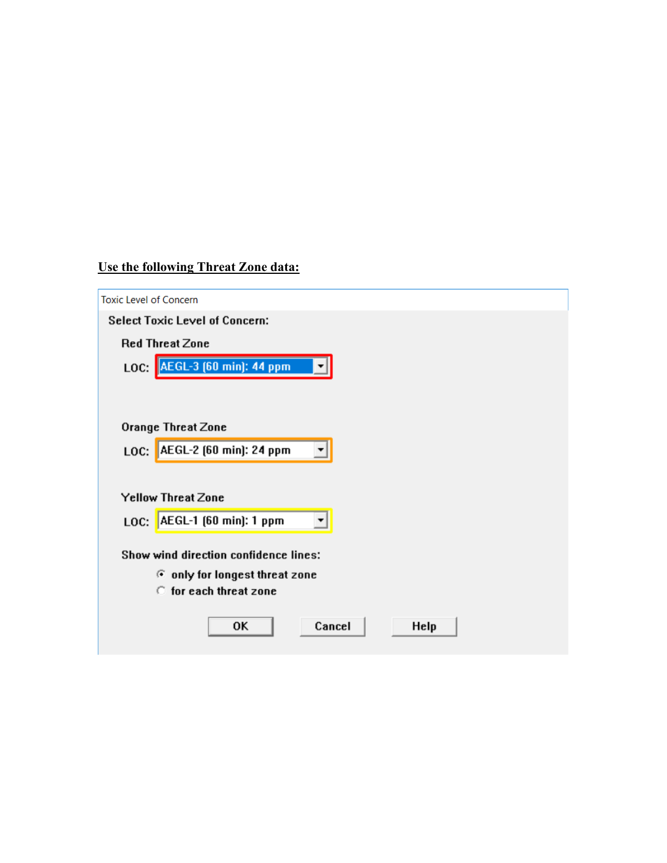# **Use the following Threat Zone data:**

| <b>Toxic Level of Concern</b>         |  |  |  |
|---------------------------------------|--|--|--|
| <b>Select Toxic Level of Concern:</b> |  |  |  |
| <b>Red Threat Zone</b>                |  |  |  |
| AEGL-3 (60 min): 44 ppm<br>LOC:       |  |  |  |
|                                       |  |  |  |
|                                       |  |  |  |
| Orange Threat Zone                    |  |  |  |
| AEGL-2 (60 min): 24 ppm<br>LOC:       |  |  |  |
|                                       |  |  |  |
| <b>Yellow Threat Zone</b>             |  |  |  |
| AEGL-1 (60 min): 1 ppm<br>LOC:        |  |  |  |
|                                       |  |  |  |
| Show wind direction confidence lines: |  |  |  |
| ⊙ only for longest threat zone        |  |  |  |
| C for each threat zone                |  |  |  |
| Cancel<br>OΚ<br>Help                  |  |  |  |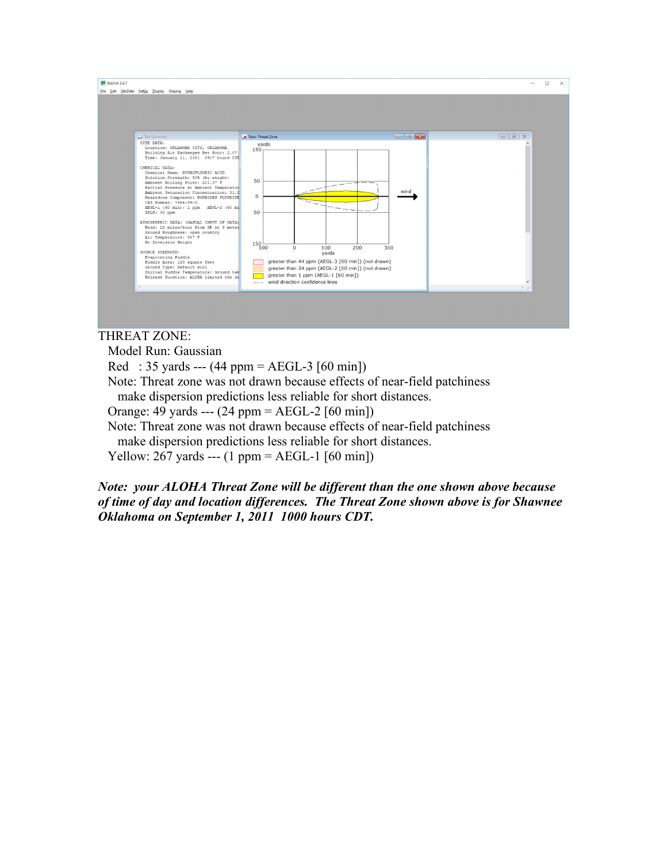

#### THREAT ZONE:

Model Run: Gaussian

Red : 35 yards --- (44 ppm = AEGL-3 [60 min])

 Note: Threat zone was not drawn because effects of near-field patchiness make dispersion predictions less reliable for short distances.

Orange: 49 yards --- (24 ppm = AEGL-2 [60 min])

 Note: Threat zone was not drawn because effects of near-field patchiness make dispersion predictions less reliable for short distances.

Yellow: 267 yards --- (1 ppm = AEGL-1 [60 min])

*Note: your ALOHA Threat Zone will be different than the one shown above because of time of day and location differences. The Threat Zone shown above is for Shawnee Oklahoma on September 1, 2011 1000 hours CDT.*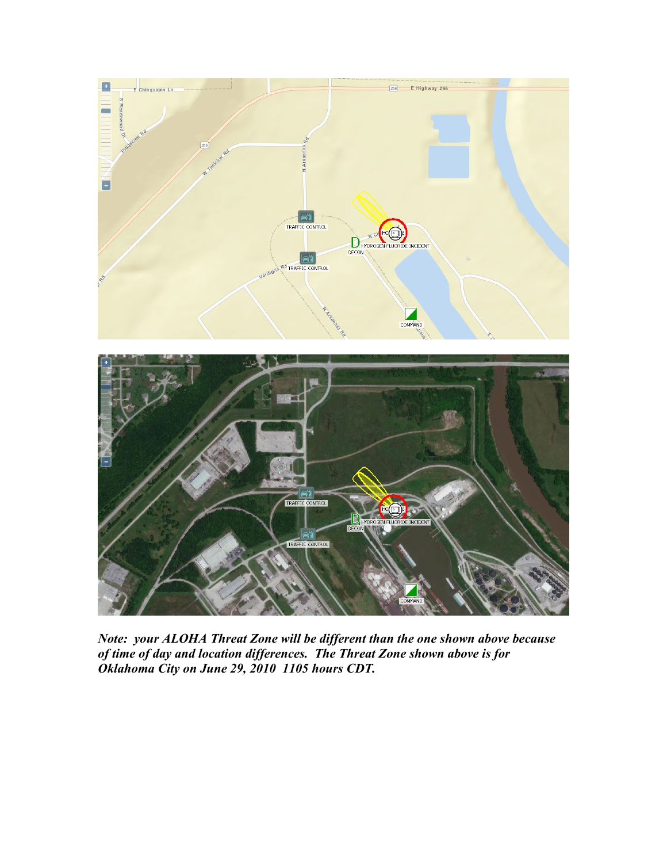

*Note: your ALOHA Threat Zone will be different than the one shown above because of time of day and location differences. The Threat Zone shown above is for Oklahoma City on June 29, 2010 1105 hours CDT.*